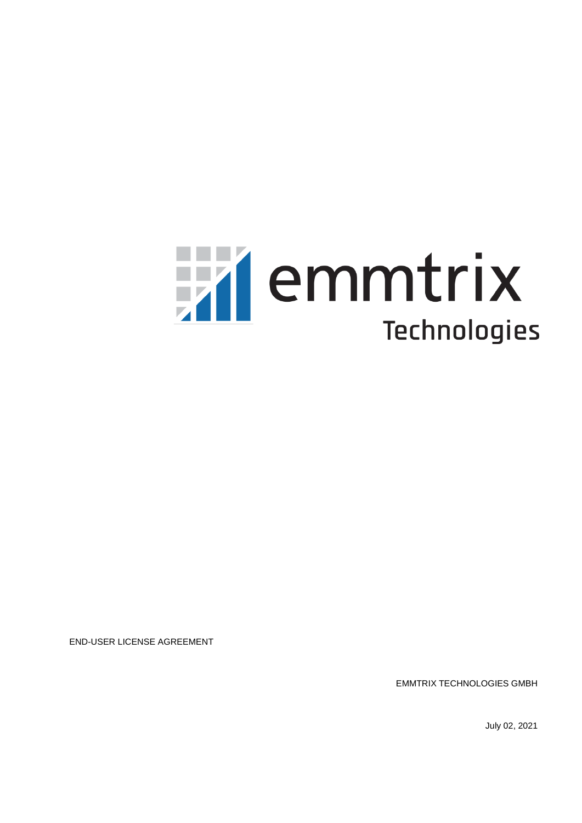# Hillemmtrix **Technologies**

END-USER LICENSE AGREEMENT

EMMTRIX TECHNOLOGIES GMBH

July 02, 2021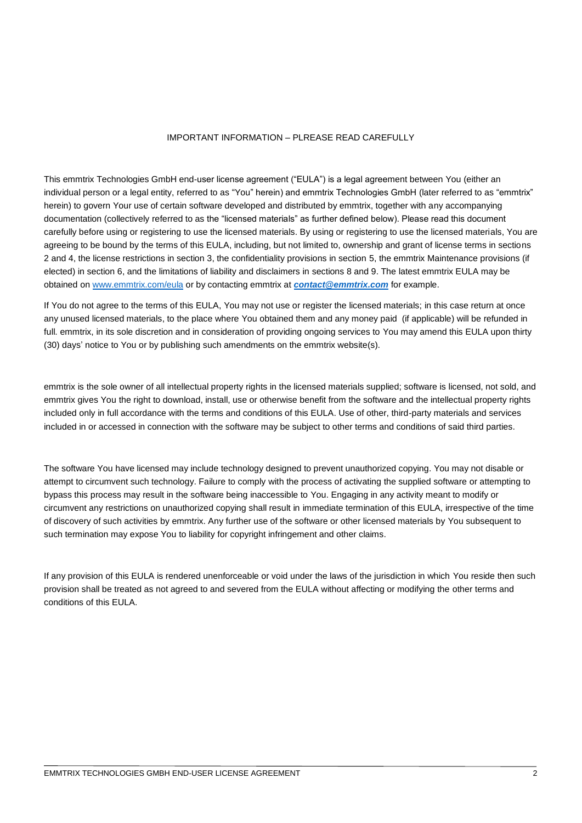#### IMPORTANT INFORMATION – PLREASE READ CAREFULLY

This emmtrix Technologies GmbH end-user license agreement ("EULA") is a legal agreement between You (either an individual person or a legal entity, referred to as "You" herein) and emmtrix Technologies GmbH (later referred to as "emmtrix" herein) to govern Your use of certain software developed and distributed by emmtrix, together with any accompanying documentation (collectively referred to as the "licensed materials" as further defined below). Please read this document carefully before using or registering to use the licensed materials. By using or registering to use the licensed materials, You are agreeing to be bound by the terms of this EULA, including, but not limited to, ownership and grant of license terms in sections 2 and 4, the license restrictions in section 3, the confidentiality provisions in section [5,](#page-6-0) the emmtrix Maintenance provisions (if elected) in section [6,](#page-6-1) and the limitations of liability and disclaimers in sections 8 and 9. The latest emmtrix EULA may be obtained o[n www.emmtrix.com/eula](http://www.emmtrix.com/eula) or by contacting emmtrix at *[contact@emmtrix.com](mailto:contact@emmtrix.com)* for example.

If You do not agree to the terms of this EULA, You may not use or register the licensed materials; in this case return at once any unused licensed materials, to the place where You obtained them and any money paid (if applicable) will be refunded in full. emmtrix, in its sole discretion and in consideration of providing ongoing services to You may amend this EULA upon thirty (30) days' notice to You or by publishing such amendments on the emmtrix website(s).

emmtrix is the sole owner of all intellectual property rights in the licensed materials supplied; software is licensed, not sold, and emmtrix gives You the right to download, install, use or otherwise benefit from the software and the intellectual property rights included only in full accordance with the terms and conditions of this EULA. Use of other, third-party materials and services included in or accessed in connection with the software may be subject to other terms and conditions of said third parties.

The software You have licensed may include technology designed to prevent unauthorized copying. You may not disable or attempt to circumvent such technology. Failure to comply with the process of activating the supplied software or attempting to bypass this process may result in the software being inaccessible to You. Engaging in any activity meant to modify or circumvent any restrictions on unauthorized copying shall result in immediate termination of this EULA, irrespective of the time of discovery of such activities by emmtrix. Any further use of the software or other licensed materials by You subsequent to such termination may expose You to liability for copyright infringement and other claims.

If any provision of this EULA is rendered unenforceable or void under the laws of the jurisdiction in which You reside then such provision shall be treated as not agreed to and severed from the EULA without affecting or modifying the other terms and conditions of this EULA.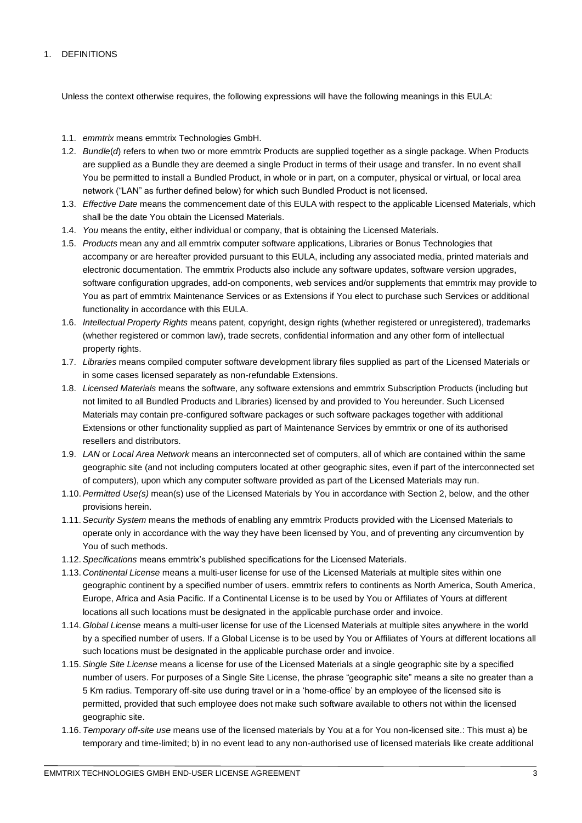## 1. DEFINITIONS

Unless the context otherwise requires, the following expressions will have the following meanings in this EULA:

- 1.1. *emmtrix* means emmtrix Technologies GmbH.
- 1.2. *Bundle*(*d*) refers to when two or more emmtrix Products are supplied together as a single package. When Products are supplied as a Bundle they are deemed a single Product in terms of their usage and transfer. In no event shall You be permitted to install a Bundled Product, in whole or in part, on a computer, physical or virtual, or local area network ("LAN" as further defined below) for which such Bundled Product is not licensed.
- 1.3. *Effective Date* means the commencement date of this EULA with respect to the applicable Licensed Materials, which shall be the date You obtain the Licensed Materials.
- 1.4. *You* means the entity, either individual or company, that is obtaining the Licensed Materials.
- 1.5. *Products* mean any and all emmtrix computer software applications, Libraries or Bonus Technologies that accompany or are hereafter provided pursuant to this EULA, including any associated media, printed materials and electronic documentation. The emmtrix Products also include any software updates, software version upgrades, software configuration upgrades, add-on components, web services and/or supplements that emmtrix may provide to You as part of emmtrix Maintenance Services or as Extensions if You elect to purchase such Services or additional functionality in accordance with this EULA.
- 1.6. *Intellectual Property Rights* means patent, copyright, design rights (whether registered or unregistered), trademarks (whether registered or common law), trade secrets, confidential information and any other form of intellectual property rights.
- 1.7. *Libraries* means compiled computer software development library files supplied as part of the Licensed Materials or in some cases licensed separately as non-refundable Extensions.
- 1.8. *Licensed Materials* means the software, any software extensions and emmtrix Subscription Products (including but not limited to all Bundled Products and Libraries) licensed by and provided to You hereunder. Such Licensed Materials may contain pre-configured software packages or such software packages together with additional Extensions or other functionality supplied as part of Maintenance Services by emmtrix or one of its authorised resellers and distributors.
- 1.9. *LAN* or *Local Area Network* means an interconnected set of computers, all of which are contained within the same geographic site (and not including computers located at other geographic sites, even if part of the interconnected set of computers), upon which any computer software provided as part of the Licensed Materials may run.
- 1.10.*Permitted Use(s)* mean(s) use of the Licensed Materials by You in accordance with Section 2, below, and the other provisions herein.
- 1.11.*Security System* means the methods of enabling any emmtrix Products provided with the Licensed Materials to operate only in accordance with the way they have been licensed by You, and of preventing any circumvention by You of such methods.
- 1.12.*Specifications* means emmtrix's published specifications for the Licensed Materials.
- 1.13. *Continental License* means a multi-user license for use of the Licensed Materials at multiple sites within one geographic continent by a specified number of users. emmtrix refers to continents as North America, South America, Europe, Africa and Asia Pacific. If a Continental License is to be used by You or Affiliates of Yours at different locations all such locations must be designated in the applicable purchase order and invoice.
- 1.14. *Global License* means a multi-user license for use of the Licensed Materials at multiple sites anywhere in the world by a specified number of users. If a Global License is to be used by You or Affiliates of Yours at different locations all such locations must be designated in the applicable purchase order and invoice.
- 1.15.*Single Site License* means a license for use of the Licensed Materials at a single geographic site by a specified number of users. For purposes of a Single Site License, the phrase "geographic site" means a site no greater than a 5 Km radius. Temporary off-site use during travel or in a 'home-office' by an employee of the licensed site is permitted, provided that such employee does not make such software available to others not within the licensed geographic site.
- 1.16. *Temporary off-site use* means use of the licensed materials by You at a for You non-licensed site.: This must a) be temporary and time-limited; b) in no event lead to any non-authorised use of licensed materials like create additional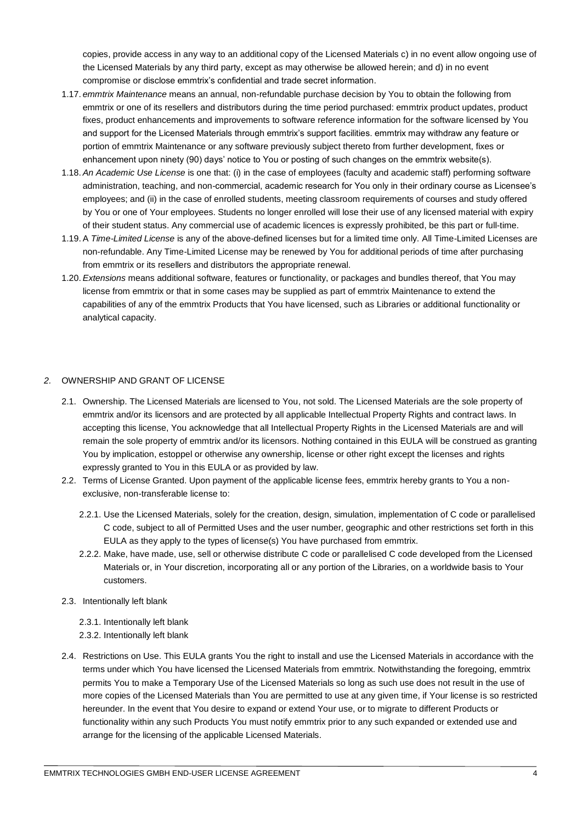copies, provide access in any way to an additional copy of the Licensed Materials c) in no event allow ongoing use of the Licensed Materials by any third party, except as may otherwise be allowed herein; and d) in no event compromise or disclose emmtrix's confidential and trade secret information.

- 1.17. *emmtrix Maintenance* means an annual, non-refundable purchase decision by You to obtain the following from emmtrix or one of its resellers and distributors during the time period purchased: emmtrix product updates, product fixes, product enhancements and improvements to software reference information for the software licensed by You and support for the Licensed Materials through emmtrix's support facilities. emmtrix may withdraw any feature or portion of emmtrix Maintenance or any software previously subject thereto from further development, fixes or enhancement upon ninety (90) days' notice to You or posting of such changes on the emmtrix website(s).
- 1.18.*An Academic Use License* is one that: (i) in the case of employees (faculty and academic staff) performing software administration, teaching, and non-commercial, academic research for You only in their ordinary course as Licensee's employees; and (ii) in the case of enrolled students, meeting classroom requirements of courses and study offered by You or one of Your employees. Students no longer enrolled will lose their use of any licensed material with expiry of their student status. Any commercial use of academic licences is expressly prohibited, be this part or full-time.
- 1.19.A *Time-Limited License* is any of the above-defined licenses but for a limited time only. All Time-Limited Licenses are non-refundable. Any Time-Limited License may be renewed by You for additional periods of time after purchasing from emmtrix or its resellers and distributors the appropriate renewal.
- 1.20.*Extensions* means additional software, features or functionality, or packages and bundles thereof, that You may license from emmtrix or that in some cases may be supplied as part of emmtrix Maintenance to extend the capabilities of any of the emmtrix Products that You have licensed, such as Libraries or additional functionality or analytical capacity.

# *2.* OWNERSHIP AND GRANT OF LICENSE

- 2.1. Ownership. The Licensed Materials are licensed to You, not sold. The Licensed Materials are the sole property of emmtrix and/or its licensors and are protected by all applicable Intellectual Property Rights and contract laws. In accepting this license, You acknowledge that all Intellectual Property Rights in the Licensed Materials are and will remain the sole property of emmtrix and/or its licensors. Nothing contained in this EULA will be construed as granting You by implication, estoppel or otherwise any ownership, license or other right except the licenses and rights expressly granted to You in this EULA or as provided by law.
- 2.2. Terms of License Granted. Upon payment of the applicable license fees, emmtrix hereby grants to You a nonexclusive, non-transferable license to:
	- 2.2.1. Use the Licensed Materials, solely for the creation, design, simulation, implementation of C code or parallelised C code, subject to all of Permitted Uses and the user number, geographic and other restrictions set forth in this EULA as they apply to the types of license(s) You have purchased from emmtrix.
	- 2.2.2. Make, have made, use, sell or otherwise distribute C code or parallelised C code developed from the Licensed Materials or, in Your discretion, incorporating all or any portion of the Libraries, on a worldwide basis to Your customers.
- 2.3. Intentionally left blank
	- 2.3.1. Intentionally left blank
	- 2.3.2. Intentionally left blank
- 2.4. Restrictions on Use. This EULA grants You the right to install and use the Licensed Materials in accordance with the terms under which You have licensed the Licensed Materials from emmtrix. Notwithstanding the foregoing, emmtrix permits You to make a Temporary Use of the Licensed Materials so long as such use does not result in the use of more copies of the Licensed Materials than You are permitted to use at any given time, if Your license is so restricted hereunder. In the event that You desire to expand or extend Your use, or to migrate to different Products or functionality within any such Products You must notify emmtrix prior to any such expanded or extended use and arrange for the licensing of the applicable Licensed Materials.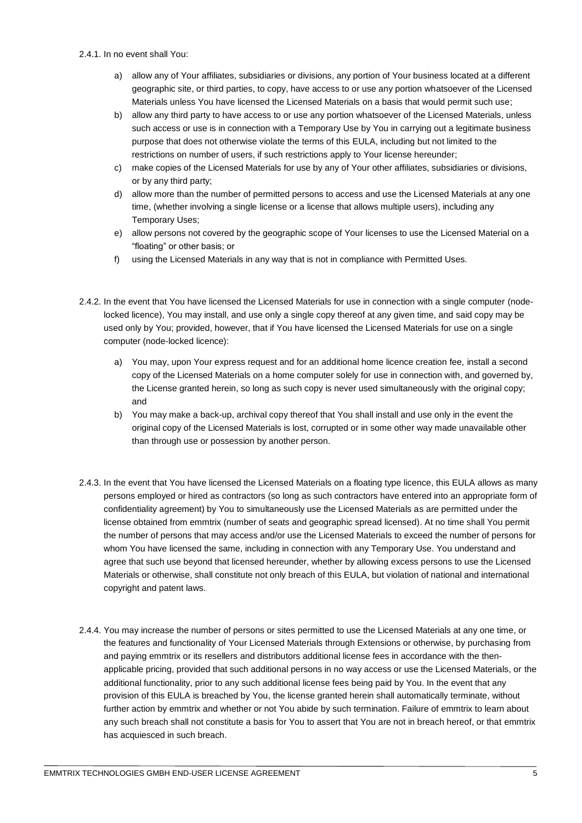#### 2.4.1. In no event shall You:

- a) allow any of Your affiliates, subsidiaries or divisions, any portion of Your business located at a different geographic site, or third parties, to copy, have access to or use any portion whatsoever of the Licensed Materials unless You have licensed the Licensed Materials on a basis that would permit such use;
- b) allow any third party to have access to or use any portion whatsoever of the Licensed Materials, unless such access or use is in connection with a Temporary Use by You in carrying out a legitimate business purpose that does not otherwise violate the terms of this EULA, including but not limited to the restrictions on number of users, if such restrictions apply to Your license hereunder;
- c) make copies of the Licensed Materials for use by any of Your other affiliates, subsidiaries or divisions, or by any third party;
- d) allow more than the number of permitted persons to access and use the Licensed Materials at any one time, (whether involving a single license or a license that allows multiple users), including any Temporary Uses;
- e) allow persons not covered by the geographic scope of Your licenses to use the Licensed Material on a "floating" or other basis; or
- f) using the Licensed Materials in any way that is not in compliance with Permitted Uses.
- 2.4.2. In the event that You have licensed the Licensed Materials for use in connection with a single computer (nodelocked licence), You may install, and use only a single copy thereof at any given time, and said copy may be used only by You; provided, however, that if You have licensed the Licensed Materials for use on a single computer (node-locked licence):
	- a) You may, upon Your express request and for an additional home licence creation fee, install a second copy of the Licensed Materials on a home computer solely for use in connection with, and governed by, the License granted herein, so long as such copy is never used simultaneously with the original copy; and
	- b) You may make a back-up, archival copy thereof that You shall install and use only in the event the original copy of the Licensed Materials is lost, corrupted or in some other way made unavailable other than through use or possession by another person.
- 2.4.3. In the event that You have licensed the Licensed Materials on a floating type licence, this EULA allows as many persons employed or hired as contractors (so long as such contractors have entered into an appropriate form of confidentiality agreement) by You to simultaneously use the Licensed Materials as are permitted under the license obtained from emmtrix (number of seats and geographic spread licensed). At no time shall You permit the number of persons that may access and/or use the Licensed Materials to exceed the number of persons for whom You have licensed the same, including in connection with any Temporary Use. You understand and agree that such use beyond that licensed hereunder, whether by allowing excess persons to use the Licensed Materials or otherwise, shall constitute not only breach of this EULA, but violation of national and international copyright and patent laws.
- 2.4.4. You may increase the number of persons or sites permitted to use the Licensed Materials at any one time, or the features and functionality of Your Licensed Materials through Extensions or otherwise, by purchasing from and paying emmtrix or its resellers and distributors additional license fees in accordance with the thenapplicable pricing, provided that such additional persons in no way access or use the Licensed Materials, or the additional functionality, prior to any such additional license fees being paid by You. In the event that any provision of this EULA is breached by You, the license granted herein shall automatically terminate, without further action by emmtrix and whether or not You abide by such termination. Failure of emmtrix to learn about any such breach shall not constitute a basis for You to assert that You are not in breach hereof, or that emmtrix has acquiesced in such breach.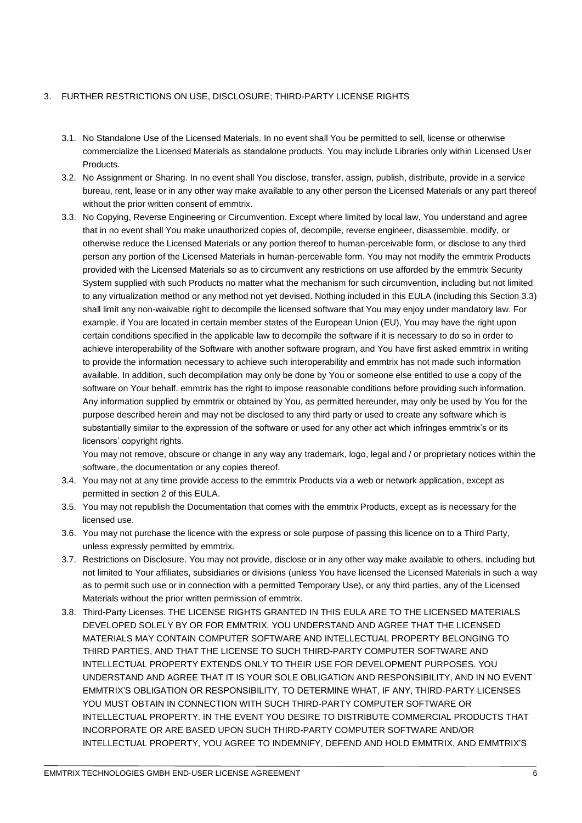## 3. FURTHER RESTRICTIONS ON USE, DISCLOSURE; THIRD-PARTY LICENSE RIGHTS

- 3.1. No Standalone Use of the Licensed Materials. In no event shall You be permitted to sell, license or otherwise commercialize the Licensed Materials as standalone products. You may include Libraries only within Licensed User Products.
- 3.2. No Assignment or Sharing. In no event shall You disclose, transfer, assign, publish, distribute, provide in a service bureau, rent, lease or in any other way make available to any other person the Licensed Materials or any part thereof without the prior written consent of emmtrix.
- 3.3. No Copying, Reverse Engineering or Circumvention. Except where limited by local law, You understand and agree that in no event shall You make unauthorized copies of, decompile, reverse engineer, disassemble, modify, or otherwise reduce the Licensed Materials or any portion thereof to human-perceivable form, or disclose to any third person any portion of the Licensed Materials in human-perceivable form. You may not modify the emmtrix Products provided with the Licensed Materials so as to circumvent any restrictions on use afforded by the emmtrix Security System supplied with such Products no matter what the mechanism for such circumvention, including but not limited to any virtualization method or any method not yet devised. Nothing included in this EULA (including this Section 3.3) shall limit any non-waivable right to decompile the licensed software that You may enjoy under mandatory law. For example, if You are located in certain member states of the European Union (EU), You may have the right upon certain conditions specified in the applicable law to decompile the software if it is necessary to do so in order to achieve interoperability of the Software with another software program, and You have first asked emmtrix in writing to provide the information necessary to achieve such interoperability and emmtrix has not made such information available. In addition, such decompilation may only be done by You or someone else entitled to use a copy of the software on Your behalf. emmtrix has the right to impose reasonable conditions before providing such information. Any information supplied by emmtrix or obtained by You, as permitted hereunder, may only be used by You for the purpose described herein and may not be disclosed to any third party or used to create any software which is substantially similar to the expression of the software or used for any other act which infringes emmtrix's or its licensors' copyright rights.

You may not remove, obscure or change in any way any trademark, logo, legal and / or proprietary notices within the software, the documentation or any copies thereof.

- 3.4. You may not at any time provide access to the emmtrix Products via a web or network application, except as permitted in section 2 of this EULA.
- 3.5. You may not republish the Documentation that comes with the emmtrix Products, except as is necessary for the licensed use.
- 3.6. You may not purchase the licence with the express or sole purpose of passing this licence on to a Third Party, unless expressly permitted by emmtrix.
- 3.7. Restrictions on Disclosure. You may not provide, disclose or in any other way make available to others, including but not limited to Your affiliates, subsidiaries or divisions (unless You have licensed the Licensed Materials in such a way as to permit such use or in connection with a permitted Temporary Use), or any third parties, any of the Licensed Materials without the prior written permission of emmtrix.
- 3.8. Third-Party Licenses. THE LICENSE RIGHTS GRANTED IN THIS EULA ARE TO THE LICENSED MATERIALS DEVELOPED SOLELY BY OR FOR EMMTRIX. YOU UNDERSTAND AND AGREE THAT THE LICENSED MATERIALS MAY CONTAIN COMPUTER SOFTWARE AND INTELLECTUAL PROPERTY BELONGING TO THIRD PARTIES, AND THAT THE LICENSE TO SUCH THIRD-PARTY COMPUTER SOFTWARE AND INTELLECTUAL PROPERTY EXTENDS ONLY TO THEIR USE FOR DEVELOPMENT PURPOSES. YOU UNDERSTAND AND AGREE THAT IT IS YOUR SOLE OBLIGATION AND RESPONSIBILITY, AND IN NO EVENT EMMTRIX'S OBLIGATION OR RESPONSIBILITY, TO DETERMINE WHAT, IF ANY, THIRD-PARTY LICENSES YOU MUST OBTAIN IN CONNECTION WITH SUCH THIRD-PARTY COMPUTER SOFTWARE OR INTELLECTUAL PROPERTY. IN THE EVENT YOU DESIRE TO DISTRIBUTE COMMERCIAL PRODUCTS THAT INCORPORATE OR ARE BASED UPON SUCH THIRD-PARTY COMPUTER SOFTWARE AND/OR INTELLECTUAL PROPERTY, YOU AGREE TO INDEMNIFY, DEFEND AND HOLD EMMTRIX, AND EMMTRIX'S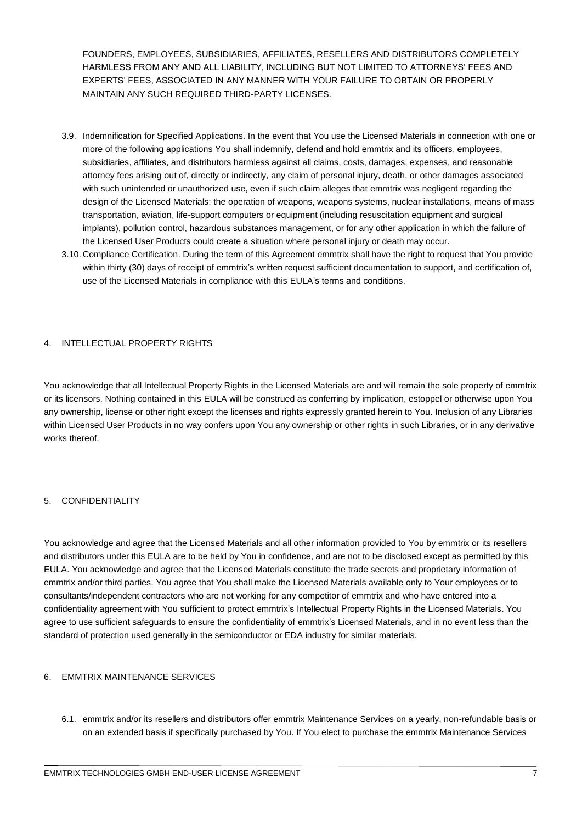FOUNDERS, EMPLOYEES, SUBSIDIARIES, AFFILIATES, RESELLERS AND DISTRIBUTORS COMPLETELY HARMLESS FROM ANY AND ALL LIABILITY, INCLUDING BUT NOT LIMITED TO ATTORNEYS' FEES AND EXPERTS' FEES, ASSOCIATED IN ANY MANNER WITH YOUR FAILURE TO OBTAIN OR PROPERLY MAINTAIN ANY SUCH REQUIRED THIRD-PARTY LICENSES.

- 3.9. Indemnification for Specified Applications. In the event that You use the Licensed Materials in connection with one or more of the following applications You shall indemnify, defend and hold emmtrix and its officers, employees, subsidiaries, affiliates, and distributors harmless against all claims, costs, damages, expenses, and reasonable attorney fees arising out of, directly or indirectly, any claim of personal injury, death, or other damages associated with such unintended or unauthorized use, even if such claim alleges that emmtrix was negligent regarding the design of the Licensed Materials: the operation of weapons, weapons systems, nuclear installations, means of mass transportation, aviation, life-support computers or equipment (including resuscitation equipment and surgical implants), pollution control, hazardous substances management, or for any other application in which the failure of the Licensed User Products could create a situation where personal injury or death may occur.
- 3.10. Compliance Certification. During the term of this Agreement emmtrix shall have the right to request that You provide within thirty (30) days of receipt of emmtrix's written request sufficient documentation to support, and certification of, use of the Licensed Materials in compliance with this EULA's terms and conditions.

## 4. INTELLECTUAL PROPERTY RIGHTS

You acknowledge that all Intellectual Property Rights in the Licensed Materials are and will remain the sole property of emmtrix or its licensors. Nothing contained in this EULA will be construed as conferring by implication, estoppel or otherwise upon You any ownership, license or other right except the licenses and rights expressly granted herein to You. Inclusion of any Libraries within Licensed User Products in no way confers upon You any ownership or other rights in such Libraries, or in any derivative works thereof.

## <span id="page-6-0"></span>5. CONFIDENTIALITY

You acknowledge and agree that the Licensed Materials and all other information provided to You by emmtrix or its resellers and distributors under this EULA are to be held by You in confidence, and are not to be disclosed except as permitted by this EULA. You acknowledge and agree that the Licensed Materials constitute the trade secrets and proprietary information of emmtrix and/or third parties. You agree that You shall make the Licensed Materials available only to Your employees or to consultants/independent contractors who are not working for any competitor of emmtrix and who have entered into a confidentiality agreement with You sufficient to protect emmtrix's Intellectual Property Rights in the Licensed Materials. You agree to use sufficient safeguards to ensure the confidentiality of emmtrix's Licensed Materials, and in no event less than the standard of protection used generally in the semiconductor or EDA industry for similar materials.

## <span id="page-6-1"></span>6. EMMTRIX MAINTENANCE SERVICES

6.1. emmtrix and/or its resellers and distributors offer emmtrix Maintenance Services on a yearly, non-refundable basis or on an extended basis if specifically purchased by You. If You elect to purchase the emmtrix Maintenance Services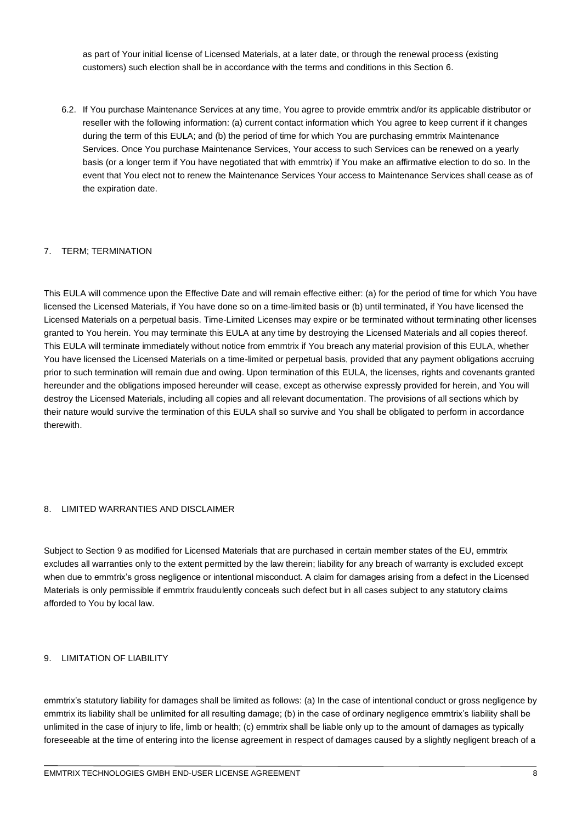as part of Your initial license of Licensed Materials, at a later date, or through the renewal process (existing customers) such election shall be in accordance with the terms and conditions in this Section 6.

6.2. If You purchase Maintenance Services at any time, You agree to provide emmtrix and/or its applicable distributor or reseller with the following information: (a) current contact information which You agree to keep current if it changes during the term of this EULA; and (b) the period of time for which You are purchasing emmtrix Maintenance Services. Once You purchase Maintenance Services, Your access to such Services can be renewed on a yearly basis (or a longer term if You have negotiated that with emmtrix) if You make an affirmative election to do so. In the event that You elect not to renew the Maintenance Services Your access to Maintenance Services shall cease as of the expiration date.

## 7. TERM; TERMINATION

This EULA will commence upon the Effective Date and will remain effective either: (a) for the period of time for which You have licensed the Licensed Materials, if You have done so on a time-limited basis or (b) until terminated, if You have licensed the Licensed Materials on a perpetual basis. Time-Limited Licenses may expire or be terminated without terminating other licenses granted to You herein. You may terminate this EULA at any time by destroying the Licensed Materials and all copies thereof. This EULA will terminate immediately without notice from emmtrix if You breach any material provision of this EULA, whether You have licensed the Licensed Materials on a time-limited or perpetual basis, provided that any payment obligations accruing prior to such termination will remain due and owing. Upon termination of this EULA, the licenses, rights and covenants granted hereunder and the obligations imposed hereunder will cease, except as otherwise expressly provided for herein, and You will destroy the Licensed Materials, including all copies and all relevant documentation. The provisions of all sections which by their nature would survive the termination of this EULA shall so survive and You shall be obligated to perform in accordance therewith.

#### 8. LIMITED WARRANTIES AND DISCLAIMER

Subject to Section 9 as modified for Licensed Materials that are purchased in certain member states of the EU, emmtrix excludes all warranties only to the extent permitted by the law therein; liability for any breach of warranty is excluded except when due to emmtrix's gross negligence or intentional misconduct. A claim for damages arising from a defect in the Licensed Materials is only permissible if emmtrix fraudulently conceals such defect but in all cases subject to any statutory claims afforded to You by local law.

## 9. LIMITATION OF LIABILITY

emmtrix's statutory liability for damages shall be limited as follows: (a) In the case of intentional conduct or gross negligence by emmtrix its liability shall be unlimited for all resulting damage; (b) in the case of ordinary negligence emmtrix's liability shall be unlimited in the case of injury to life, limb or health; (c) emmtrix shall be liable only up to the amount of damages as typically foreseeable at the time of entering into the license agreement in respect of damages caused by a slightly negligent breach of a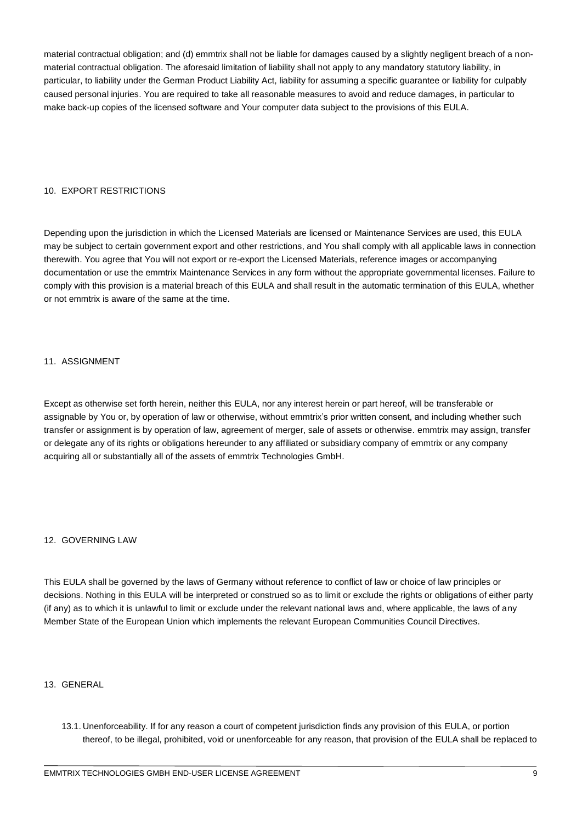material contractual obligation; and (d) emmtrix shall not be liable for damages caused by a slightly negligent breach of a nonmaterial contractual obligation. The aforesaid limitation of liability shall not apply to any mandatory statutory liability, in particular, to liability under the German Product Liability Act, liability for assuming a specific guarantee or liability for culpably caused personal injuries. You are required to take all reasonable measures to avoid and reduce damages, in particular to make back-up copies of the licensed software and Your computer data subject to the provisions of this EULA.

# 10. EXPORT RESTRICTIONS

Depending upon the jurisdiction in which the Licensed Materials are licensed or Maintenance Services are used, this EULA may be subject to certain government export and other restrictions, and You shall comply with all applicable laws in connection therewith. You agree that You will not export or re-export the Licensed Materials, reference images or accompanying documentation or use the emmtrix Maintenance Services in any form without the appropriate governmental licenses. Failure to comply with this provision is a material breach of this EULA and shall result in the automatic termination of this EULA, whether or not emmtrix is aware of the same at the time.

## 11. ASSIGNMENT

Except as otherwise set forth herein, neither this EULA, nor any interest herein or part hereof, will be transferable or assignable by You or, by operation of law or otherwise, without emmtrix's prior written consent, and including whether such transfer or assignment is by operation of law, agreement of merger, sale of assets or otherwise. emmtrix may assign, transfer or delegate any of its rights or obligations hereunder to any affiliated or subsidiary company of emmtrix or any company acquiring all or substantially all of the assets of emmtrix Technologies GmbH.

## 12. GOVERNING LAW

This EULA shall be governed by the laws of Germany without reference to conflict of law or choice of law principles or decisions. Nothing in this EULA will be interpreted or construed so as to limit or exclude the rights or obligations of either party (if any) as to which it is unlawful to limit or exclude under the relevant national laws and, where applicable, the laws of any Member State of the European Union which implements the relevant European Communities Council Directives.

## 13. GENERAL

13.1. Unenforceability. If for any reason a court of competent jurisdiction finds any provision of this EULA, or portion thereof, to be illegal, prohibited, void or unenforceable for any reason, that provision of the EULA shall be replaced to